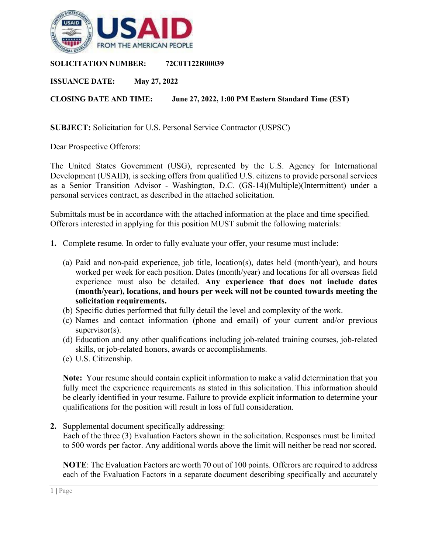

**SOLICITATION NUMBER: 72C0T122R00039**

**ISSUANCE DATE: May 27, 2022**

**CLOSING DATE AND TIME: June 27, 2022, 1:00 PM Eastern Standard Time (EST)**

**SUBJECT:** Solicitation for U.S. Personal Service Contractor (USPSC)

Dear Prospective Offerors:

The United States Government (USG), represented by the U.S. Agency for International Development (USAID), is seeking offers from qualified U.S. citizens to provide personal services as a Senior Transition Advisor - Washington, D.C. (GS-14)(Multiple)(Intermittent) under a personal services contract, as described in the attached solicitation.

Submittals must be in accordance with the attached information at the place and time specified. Offerors interested in applying for this position MUST submit the following materials:

- **1.** Complete resume. In order to fully evaluate your offer, your resume must include:
	- (a) Paid and non-paid experience, job title, location(s), dates held (month/year), and hours worked per week for each position. Dates (month/year) and locations for all overseas field experience must also be detailed. **Any experience that does not include dates (month/year), locations, and hours per week will not be counted towards meeting the solicitation requirements.**
	- (b) Specific duties performed that fully detail the level and complexity of the work.
	- (c) Names and contact information (phone and email) of your current and/or previous supervisor(s).
	- (d) Education and any other qualifications including job-related training courses, job-related skills, or job-related honors, awards or accomplishments.
	- (e) U.S. Citizenship.

**Note:** Your resume should contain explicit information to make a valid determination that you fully meet the experience requirements as stated in this solicitation. This information should be clearly identified in your resume. Failure to provide explicit information to determine your qualifications for the position will result in loss of full consideration.

**2.** Supplemental document specifically addressing:

Each of the three (3) Evaluation Factors shown in the solicitation. Responses must be limited to 500 words per factor. Any additional words above the limit will neither be read nor scored.

**NOTE**: The Evaluation Factors are worth 70 out of 100 points. Offerors are required to address each of the Evaluation Factors in a separate document describing specifically and accurately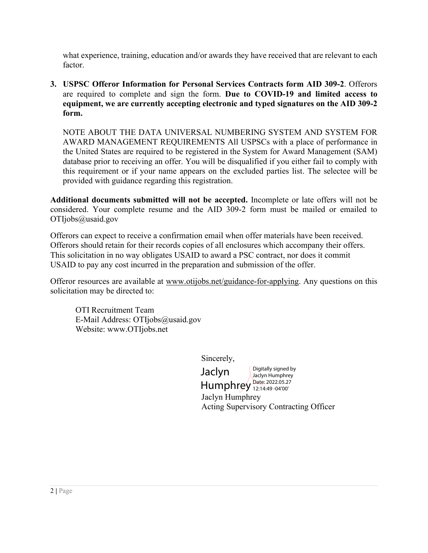what experience, training, education and/or awards they have received that are relevant to each factor.

**3. USPSC Offeror Information for Personal Services Contracts form AID 309-2**. Offerors are required to complete and sign the form. **Due to COVID-19 and limited access to equipment, we are currently accepting electronic and typed signatures on the AID 309-2 form.**

NOTE ABOUT THE DATA UNIVERSAL NUMBERING SYSTEM AND SYSTEM FOR AWARD MANAGEMENT REQUIREMENTS All USPSCs with a place of performance in the United States are required to be registered in the System for Award Management (SAM) database prior to receiving an offer. You will be disqualified if you either fail to comply with this requirement or if your name appears on the excluded parties list. The selectee will be provided with guidance regarding this registration.

**Additional documents submitted will not be accepted.** Incomplete or late offers will not be considered. Your complete resume and the AID 309-2 form must be mailed or emailed to OTIjobs@usaid.gov

Offerors can expect to receive a confirmation email when offer materials have been received. Offerors should retain for their records copies of all enclosures which accompany their offers. This solicitation in no way obligates USAID to award a PSC contract, nor does it commit USAID to pay any cost incurred in the preparation and submission of the offer.

Offeror resources are available at [www.otijobs.net/guidance-for-applying.](http://www.otijobs.net/guidance-for-applying) Any questions on this solicitation may be directed to:

OTI Recruitment Team E-Mail Address: OTIjobs@usaid.gov Website: www.OTIjobs.net

Sincerely,

Jaclyn Humphrey Acting Supervisory Contracting Officer Jaclyn Humphrey Date: 2022.05.27 Digitally signed by Jaclyn Humphrey 12:14:49 -04'00'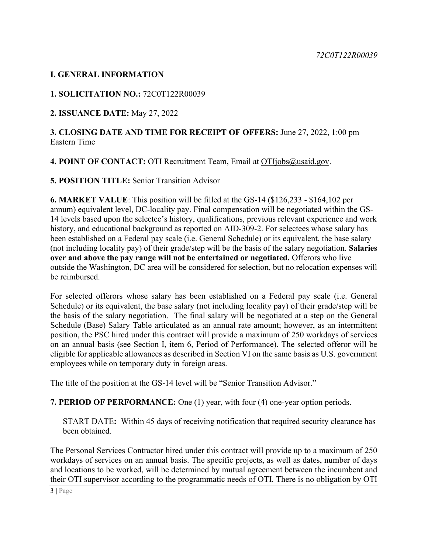# **I. GENERAL INFORMATION**

### **1. SOLICITATION NO.:** 72C0T122R00039

**2. ISSUANCE DATE:** May 27, 2022

#### **3. CLOSING DATE AND TIME FOR RECEIPT OF OFFERS:** June 27, 2022, 1:00 pm Eastern Time

4. POINT OF CONTACT: OTI Recruitment Team, Email at [OTIjobs@usaid.gov.](mailto:OTIjobs@usaid.gov)

#### **5. POSITION TITLE:** Senior Transition Advisor

**6. MARKET VALUE**: This position will be filled at the GS-14 (\$126,233 - \$164,102 per annum) equivalent level, DC-locality pay. Final compensation will be negotiated within the GS-14 levels based upon the selectee's history, qualifications, previous relevant experience and work history, and educational background as reported on AID-309-2. For selectees whose salary has been established on a Federal pay scale (i.e. General Schedule) or its equivalent, the base salary (not including locality pay) of their grade/step will be the basis of the salary negotiation. **Salaries over and above the pay range will not be entertained or negotiated.** Offerors who live outside the Washington, DC area will be considered for selection, but no relocation expenses will be reimbursed.

For selected offerors whose salary has been established on a Federal pay scale (i.e. General Schedule) or its equivalent, the base salary (not including locality pay) of their grade/step will be the basis of the salary negotiation. The final salary will be negotiated at a step on the General Schedule (Base) Salary Table articulated as an annual rate amount; however, as an intermittent position, the PSC hired under this contract will provide a maximum of 250 workdays of services on an annual basis (see Section I, item 6, Period of Performance). The selected offeror will be eligible for applicable allowances as described in Section VI on the same basis as U.S. government employees while on temporary duty in foreign areas.

The title of the position at the GS-14 level will be "Senior Transition Advisor."

#### **7. PERIOD OF PERFORMANCE:** One (1) year, with four (4) one-year option periods.

START DATE**:** Within 45 days of receiving notification that required security clearance has been obtained.

The Personal Services Contractor hired under this contract will provide up to a maximum of 250 workdays of services on an annual basis. The specific projects, as well as dates, number of days and locations to be worked, will be determined by mutual agreement between the incumbent and their OTI supervisor according to the programmatic needs of OTI. There is no obligation by OTI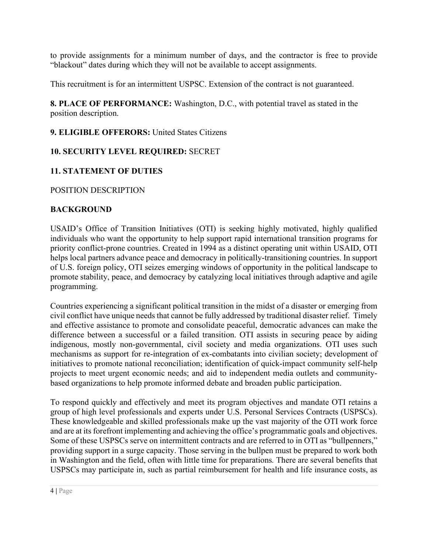to provide assignments for a minimum number of days, and the contractor is free to provide "blackout" dates during which they will not be available to accept assignments.

This recruitment is for an intermittent USPSC. Extension of the contract is not guaranteed.

**8. PLACE OF PERFORMANCE:** Washington, D.C., with potential travel as stated in the position description.

# **9. ELIGIBLE OFFERORS:** United States Citizens

# **10. SECURITY LEVEL REQUIRED:** SECRET

# **11. STATEMENT OF DUTIES**

POSITION DESCRIPTION

# **BACKGROUND**

USAID's Office of Transition Initiatives (OTI) is seeking highly motivated, highly qualified individuals who want the opportunity to help support rapid international transition programs for priority conflict-prone countries. Created in 1994 as a distinct operating unit within USAID, OTI helps local partners advance peace and democracy in politically-transitioning countries. In support of U.S. foreign policy, OTI seizes emerging windows of opportunity in the political landscape to promote stability, peace, and democracy by catalyzing local initiatives through adaptive and agile programming.

Countries experiencing a significant political transition in the midst of a disaster or emerging from civil conflict have unique needs that cannot be fully addressed by traditional disaster relief. Timely and effective assistance to promote and consolidate peaceful, democratic advances can make the difference between a successful or a failed transition. OTI assists in securing peace by aiding indigenous, mostly non-governmental, civil society and media organizations. OTI uses such mechanisms as support for re-integration of ex-combatants into civilian society; development of initiatives to promote national reconciliation; identification of quick-impact community self-help projects to meet urgent economic needs; and aid to independent media outlets and communitybased organizations to help promote informed debate and broaden public participation.

To respond quickly and effectively and meet its program objectives and mandate OTI retains a group of high level professionals and experts under U.S. Personal Services Contracts (USPSCs). These knowledgeable and skilled professionals make up the vast majority of the OTI work force and are at its forefront implementing and achieving the office's programmatic goals and objectives. Some of these USPSCs serve on intermittent contracts and are referred to in OTI as "bullpenners," providing support in a surge capacity. Those serving in the bullpen must be prepared to work both in Washington and the field, often with little time for preparations*.* There are several benefits that USPSCs may participate in, such as partial reimbursement for health and life insurance costs, as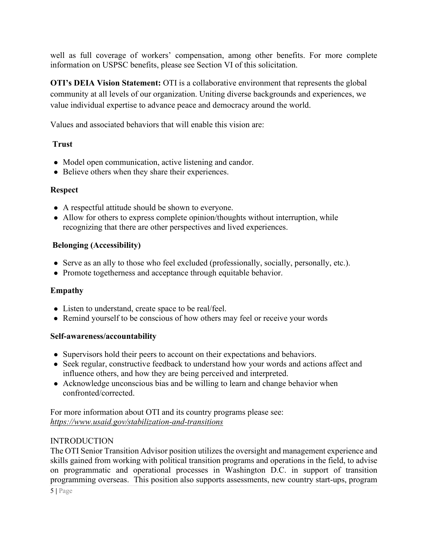well as full coverage of workers' compensation, among other benefits. For more complete information on USPSC benefits, please see Section VI of this solicitation.

**OTI's DEIA Vision Statement:** OTI is a collaborative environment that represents the global community at all levels of our organization. Uniting diverse backgrounds and experiences, we value individual expertise to advance peace and democracy around the world.

Values and associated behaviors that will enable this vision are:

#### **Trust**

- Model open communication, active listening and candor.
- Believe others when they share their experiences.

# **Respect**

- A respectful attitude should be shown to everyone.
- Allow for others to express complete opinion/thoughts without interruption, while recognizing that there are other perspectives and lived experiences.

# **Belonging (Accessibility)**

- Serve as an ally to those who feel excluded (professionally, socially, personally, etc.).
- Promote togetherness and acceptance through equitable behavior.

# **Empathy**

- Listen to understand, create space to be real/feel.
- Remind yourself to be conscious of how others may feel or receive your words

#### **Self-awareness/accountability**

- Supervisors hold their peers to account on their expectations and behaviors.
- Seek regular, constructive feedback to understand how your words and actions affect and influence others, and how they are being perceived and interpreted.
- Acknowledge unconscious bias and be willing to learn and change behavior when confronted/corrected.

For more information about OTI and its country programs please see: *<https://www.usaid.gov/stabilization-and-transitions>*

#### INTRODUCTION

The OTI Senior Transition Advisor position utilizes the oversight and management experience and skills gained from working with political transition programs and operations in the field, to advise on programmatic and operational processes in Washington D.C. in support of transition programming overseas. This position also supports assessments, new country start-ups, program

5 **|** Page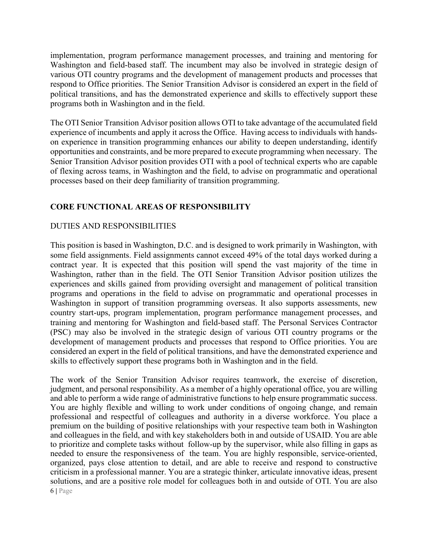implementation, program performance management processes, and training and mentoring for Washington and field-based staff. The incumbent may also be involved in strategic design of various OTI country programs and the development of management products and processes that respond to Office priorities. The Senior Transition Advisor is considered an expert in the field of political transitions, and has the demonstrated experience and skills to effectively support these programs both in Washington and in the field.

The OTI Senior Transition Advisor position allows OTI to take advantage of the accumulated field experience of incumbents and apply it across the Office. Having access to individuals with handson experience in transition programming enhances our ability to deepen understanding, identify opportunities and constraints, and be more prepared to execute programming when necessary. The Senior Transition Advisor position provides OTI with a pool of technical experts who are capable of flexing across teams, in Washington and the field, to advise on programmatic and operational processes based on their deep familiarity of transition programming.

# **CORE FUNCTIONAL AREAS OF RESPONSIBILITY**

#### DUTIES AND RESPONSIBILITIES

This position is based in Washington, D.C. and is designed to work primarily in Washington, with some field assignments. Field assignments cannot exceed 49% of the total days worked during a contract year. It is expected that this position will spend the vast majority of the time in Washington, rather than in the field. The OTI Senior Transition Advisor position utilizes the experiences and skills gained from providing oversight and management of political transition programs and operations in the field to advise on programmatic and operational processes in Washington in support of transition programming overseas. It also supports assessments, new country start-ups, program implementation, program performance management processes, and training and mentoring for Washington and field-based staff. The Personal Services Contractor (PSC) may also be involved in the strategic design of various OTI country programs or the development of management products and processes that respond to Office priorities. You are considered an expert in the field of political transitions, and have the demonstrated experience and skills to effectively support these programs both in Washington and in the field.

The work of the Senior Transition Advisor requires teamwork, the exercise of discretion, judgment, and personal responsibility. As a member of a highly operational office, you are willing and able to perform a wide range of administrative functions to help ensure programmatic success. You are highly flexible and willing to work under conditions of ongoing change, and remain professional and respectful of colleagues and authority in a diverse workforce. You place a premium on the building of positive relationships with your respective team both in Washington and colleagues in the field, and with key stakeholders both in and outside of USAID. You are able to prioritize and complete tasks without follow-up by the supervisor, while also filling in gaps as needed to ensure the responsiveness of the team. You are highly responsible, service-oriented, organized, pays close attention to detail, and are able to receive and respond to constructive criticism in a professional manner. You are a strategic thinker, articulate innovative ideas, present solutions, and are a positive role model for colleagues both in and outside of OTI. You are also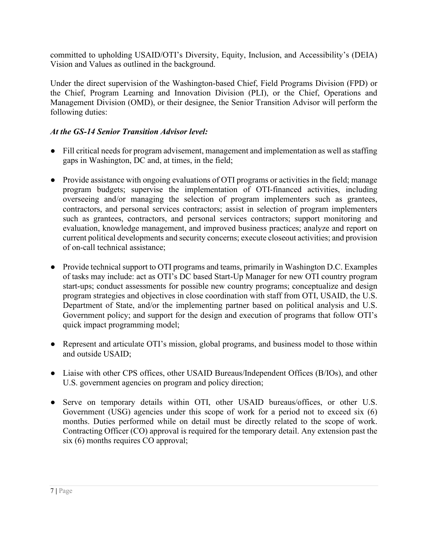committed to upholding USAID/OTI's Diversity, Equity, Inclusion, and Accessibility's (DEIA) Vision and Values as outlined in the background.

Under the direct supervision of the Washington-based Chief, Field Programs Division (FPD) or the Chief, Program Learning and Innovation Division (PLI), or the Chief, Operations and Management Division (OMD), or their designee, the Senior Transition Advisor will perform the following duties:

# *At the GS-14 Senior Transition Advisor level:*

- Fill critical needs for program advisement, management and implementation as well as staffing gaps in Washington, DC and, at times, in the field;
- Provide assistance with ongoing evaluations of OTI programs or activities in the field; manage program budgets; supervise the implementation of OTI-financed activities, including overseeing and/or managing the selection of program implementers such as grantees, contractors, and personal services contractors; assist in selection of program implementers such as grantees, contractors, and personal services contractors; support monitoring and evaluation, knowledge management, and improved business practices; analyze and report on current political developments and security concerns; execute closeout activities; and provision of on-call technical assistance;
- Provide technical support to OTI programs and teams, primarily in Washington D.C. Examples of tasks may include: act as OTI's DC based Start-Up Manager for new OTI country program start-ups; conduct assessments for possible new country programs; conceptualize and design program strategies and objectives in close coordination with staff from OTI, USAID, the U.S. Department of State, and/or the implementing partner based on political analysis and U.S. Government policy; and support for the design and execution of programs that follow OTI's quick impact programming model;
- Represent and articulate OTI's mission, global programs, and business model to those within and outside USAID;
- Liaise with other CPS offices, other USAID Bureaus/Independent Offices (B/IOs), and other U.S. government agencies on program and policy direction;
- Serve on temporary details within OTI, other USAID bureaus/offices, or other U.S. Government (USG) agencies under this scope of work for a period not to exceed six (6) months. Duties performed while on detail must be directly related to the scope of work. Contracting Officer (CO) approval is required for the temporary detail. Any extension past the six (6) months requires CO approval;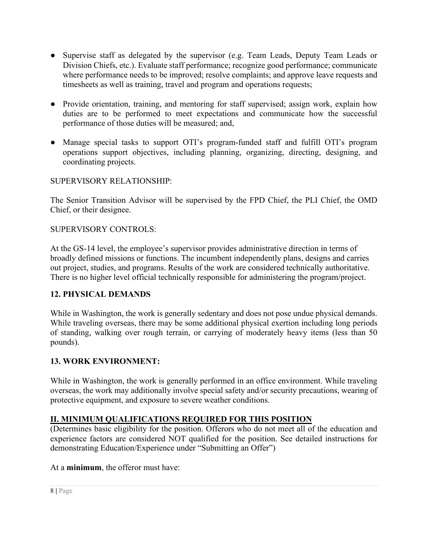- Supervise staff as delegated by the supervisor (e.g. Team Leads, Deputy Team Leads or Division Chiefs, etc.). Evaluate staff performance; recognize good performance; communicate where performance needs to be improved; resolve complaints; and approve leave requests and timesheets as well as training, travel and program and operations requests;
- Provide orientation, training, and mentoring for staff supervised; assign work, explain how duties are to be performed to meet expectations and communicate how the successful performance of those duties will be measured; and,
- Manage special tasks to support OTI's program-funded staff and fulfill OTI's program operations support objectives, including planning, organizing, directing, designing, and coordinating projects.

# SUPERVISORY RELATIONSHIP:

The Senior Transition Advisor will be supervised by the FPD Chief, the PLI Chief, the OMD Chief, or their designee.

# SUPERVISORY CONTROLS:

At the GS-14 level, the employee's supervisor provides administrative direction in terms of broadly defined missions or functions. The incumbent independently plans, designs and carries out project, studies, and programs. Results of the work are considered technically authoritative. There is no higher level official technically responsible for administering the program/project.

# **12. PHYSICAL DEMANDS**

While in Washington, the work is generally sedentary and does not pose undue physical demands. While traveling overseas, there may be some additional physical exertion including long periods of standing, walking over rough terrain, or carrying of moderately heavy items (less than 50 pounds).

# **13. WORK ENVIRONMENT:**

While in Washington, the work is generally performed in an office environment. While traveling overseas, the work may additionally involve special safety and/or security precautions, wearing of protective equipment, and exposure to severe weather conditions.

# **II. MINIMUM QUALIFICATIONS REQUIRED FOR THIS POSITION**

(Determines basic eligibility for the position. Offerors who do not meet all of the education and experience factors are considered NOT qualified for the position. See detailed instructions for demonstrating Education/Experience under "Submitting an Offer")

At a **minimum**, the offeror must have: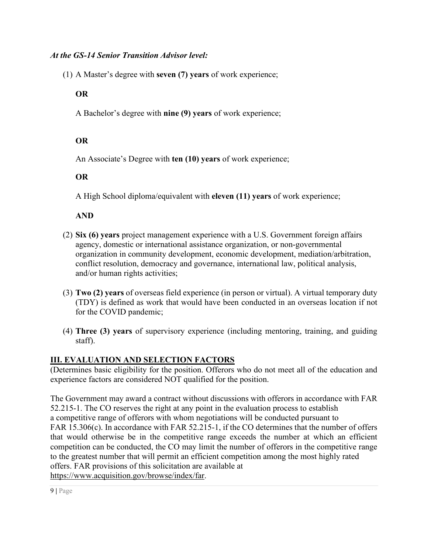# *At the GS-14 Senior Transition Advisor level:*

(1) A Master's degree with **seven (7) years** of work experience;

# **OR**

A Bachelor's degree with **nine (9) years** of work experience;

# **OR**

An Associate's Degree with **ten (10) years** of work experience;

# **OR**

A High School diploma/equivalent with **eleven (11) years** of work experience;

**AND**

- (2) **Six (6) years** project management experience with a U.S. Government foreign affairs agency, domestic or international assistance organization, or non-governmental organization in community development, economic development, mediation/arbitration, conflict resolution, democracy and governance, international law, political analysis, and/or human rights activities;
- (3) **Two (2) years** of overseas field experience (in person or virtual). A virtual temporary duty (TDY) is defined as work that would have been conducted in an overseas location if not for the COVID pandemic;
- (4) **Three (3) years** of supervisory experience (including mentoring, training, and guiding staff).

# **III. EVALUATION AND SELECTION FACTORS**

(Determines basic eligibility for the position. Offerors who do not meet all of the education and experience factors are considered NOT qualified for the position.

The Government may award a contract without discussions with offerors in accordance with FAR 52.215-1. The CO reserves the right at any point in the evaluation process to establish a competitive range of offerors with whom negotiations will be conducted pursuant to FAR 15.306(c). In accordance with FAR 52.215-1, if the CO determines that the number of offers that would otherwise be in the competitive range exceeds the number at which an efficient competition can be conducted, the CO may limit the number of offerors in the competitive range to the greatest number that will permit an efficient competition among the most highly rated offers. FAR provisions of this solicitation are available at [https://www.acquisition.gov/browse/index/far.](https://www.acquisition.gov/browse/index/far)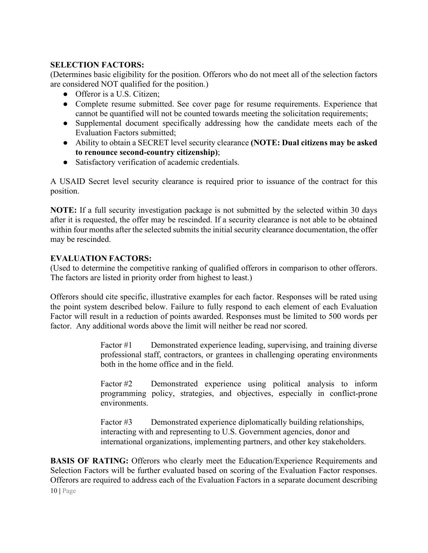# **SELECTION FACTORS:**

(Determines basic eligibility for the position. Offerors who do not meet all of the selection factors are considered NOT qualified for the position.)

- Offeror is a U.S. Citizen:
- Complete resume submitted. See cover page for resume requirements. Experience that cannot be quantified will not be counted towards meeting the solicitation requirements;
- Supplemental document specifically addressing how the candidate meets each of the Evaluation Factors submitted;
- Ability to obtain a SECRET level security clearance **(NOTE: Dual citizens may be asked to renounce second-country citizenship)**;
- Satisfactory verification of academic credentials.

A USAID Secret level security clearance is required prior to issuance of the contract for this position.

**NOTE:** If a full security investigation package is not submitted by the selected within 30 days after it is requested, the offer may be rescinded. If a security clearance is not able to be obtained within four months after the selected submits the initial security clearance documentation, the offer may be rescinded.

#### **EVALUATION FACTORS:**

(Used to determine the competitive ranking of qualified offerors in comparison to other offerors. The factors are listed in priority order from highest to least.)

Offerors should cite specific, illustrative examples for each factor. Responses will be rated using the point system described below. Failure to fully respond to each element of each Evaluation Factor will result in a reduction of points awarded. Responses must be limited to 500 words per factor. Any additional words above the limit will neither be read nor scored.

> Factor #1 Demonstrated experience leading, supervising, and training diverse professional staff, contractors, or grantees in challenging operating environments both in the home office and in the field.

> Factor #2 Demonstrated experience using political analysis to inform programming policy, strategies, and objectives, especially in conflict-prone environments.

Factor #3 Demonstrated experience diplomatically building relationships, interacting with and representing to U.S. Government agencies, donor and international organizations, implementing partners, and other key stakeholders.

**BASIS OF RATING:** Offerors who clearly meet the Education/Experience Requirements and Selection Factors will be further evaluated based on scoring of the Evaluation Factor responses. Offerors are required to address each of the Evaluation Factors in a separate document describing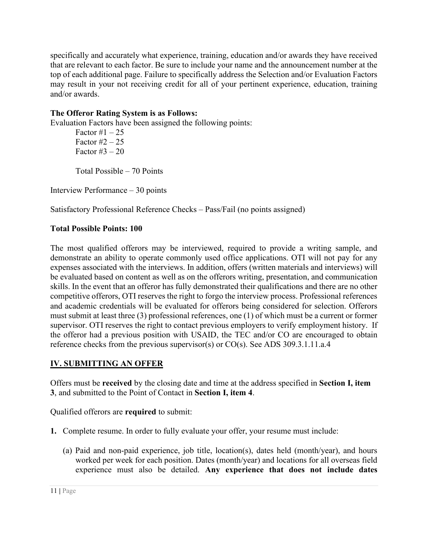specifically and accurately what experience, training, education and/or awards they have received that are relevant to each factor. Be sure to include your name and the announcement number at the top of each additional page. Failure to specifically address the Selection and/or Evaluation Factors may result in your not receiving credit for all of your pertinent experience, education, training and/or awards.

# **The Offeror Rating System is as Follows:**

Evaluation Factors have been assigned the following points:

Factor  $\#1 - 25$ Factor  $\#2 - 25$ Factor  $#3 - 20$ 

Total Possible – 70 Points

Interview Performance – 30 points

Satisfactory Professional Reference Checks – Pass/Fail (no points assigned)

# **Total Possible Points: 100**

The most qualified offerors may be interviewed, required to provide a writing sample, and demonstrate an ability to operate commonly used office applications. OTI will not pay for any expenses associated with the interviews. In addition, offers (written materials and interviews) will be evaluated based on content as well as on the offerors writing, presentation, and communication skills. In the event that an offeror has fully demonstrated their qualifications and there are no other competitive offerors, OTI reserves the right to forgo the interview process. Professional references and academic credentials will be evaluated for offerors being considered for selection. Offerors must submit at least three (3) professional references, one (1) of which must be a current or former supervisor. OTI reserves the right to contact previous employers to verify employment history. If the offeror had a previous position with USAID, the TEC and/or CO are encouraged to obtain reference checks from the previous supervisor(s) or CO(s). See [ADS 309.3.1.11.a.4](https://www.usaid.gov/sites/default/files/documents/309.pdf)

# **IV. SUBMITTING AN OFFER**

Offers must be **received** by the closing date and time at the address specified in **Section I, item 3**, and submitted to the Point of Contact in **Section I, item 4**.

Qualified offerors are **required** to submit:

- **1.** Complete resume. In order to fully evaluate your offer, your resume must include:
	- (a) Paid and non-paid experience, job title, location(s), dates held (month/year), and hours worked per week for each position. Dates (month/year) and locations for all overseas field experience must also be detailed. **Any experience that does not include dates**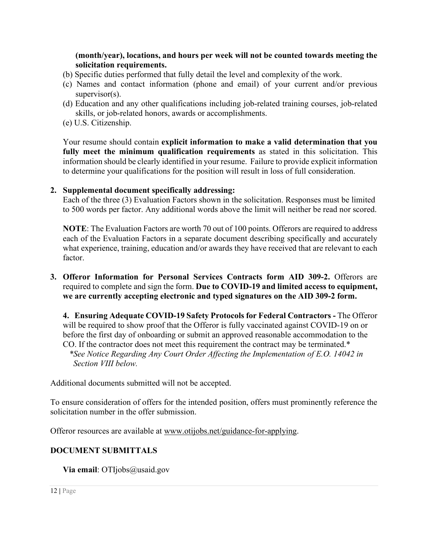#### **(month/year), locations, and hours per week will not be counted towards meeting the solicitation requirements.**

- (b) Specific duties performed that fully detail the level and complexity of the work.
- (c) Names and contact information (phone and email) of your current and/or previous supervisor(s).
- (d) Education and any other qualifications including job-related training courses, job-related skills, or job-related honors, awards or accomplishments.
- (e) U.S. Citizenship.

Your resume should contain **explicit information to make a valid determination that you fully meet the minimum qualification requirements** as stated in this solicitation. This information should be clearly identified in your resume. Failure to provide explicit information to determine your qualifications for the position will result in loss of full consideration.

# **2. Supplemental document specifically addressing:**

Each of the three (3) Evaluation Factors shown in the solicitation. Responses must be limited to 500 words per factor. Any additional words above the limit will neither be read nor scored.

**NOTE**: The Evaluation Factors are worth 70 out of 100 points. Offerors are required to address each of the Evaluation Factors in a separate document describing specifically and accurately what experience, training, education and/or awards they have received that are relevant to each factor.

#### **3. Offeror Information for Personal Services Contracts form AID 309-2.** Offerors are required to complete and sign the form. **Due to COVID-19 and limited access to equipment, we are currently accepting electronic and typed signatures on the AID 309-2 form.**

**4. Ensuring Adequate COVID-19 Safety Protocols for Federal Contractors -** The Offeror will be required to show proof that the Offeror is fully vaccinated against COVID-19 on or before the first day of onboarding or submit an approved reasonable accommodation to the CO. If the contractor does not meet this requirement the contract may be terminated.\* *\*See Notice Regarding Any Court Order Affecting the Implementation of E.O. 14042 in Section VIII below.* 

Additional documents submitted will not be accepted.

To ensure consideration of offers for the intended position, offers must prominently reference the solicitation number in the offer submission.

Offeror resources are available at [www.otijobs.net/guidance-for-applying.](http://www.otijobs.net/guidance-for-applying)

# **DOCUMENT SUBMITTALS**

**Via email**: OTIjobs@usaid.gov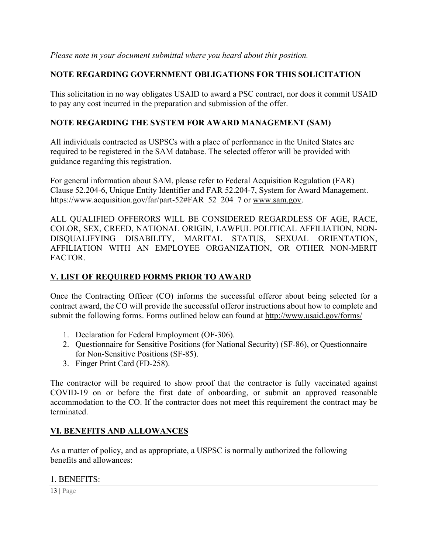# **NOTE REGARDING GOVERNMENT OBLIGATIONS FOR THIS SOLICITATION**

This solicitation in no way obligates USAID to award a PSC contract, nor does it commit USAID to pay any cost incurred in the preparation and submission of the offer.

# **NOTE REGARDING THE SYSTEM FOR AWARD MANAGEMENT (SAM)**

All individuals contracted as USPSCs with a place of performance in the United States are required to be registered in the SAM database. The selected offeror will be provided with guidance regarding this registration.

For general information about SAM, please refer to Federal Acquisition Regulation (FAR) Clause 52.204-6, Unique Entity Identifier and FAR 52.204-7, System for Award Management. https://www.acquisition.gov/far/part-52#FAR\_52\_204\_7 or [www.sam.gov.](http://www.sam.gov/)

ALL QUALIFIED OFFERORS WILL BE CONSIDERED REGARDLESS OF AGE, RACE, COLOR, SEX, CREED, NATIONAL ORIGIN, LAWFUL POLITICAL AFFILIATION, NON-DISQUALIFYING DISABILITY, MARITAL STATUS, SEXUAL ORIENTATION, AFFILIATION WITH AN EMPLOYEE ORGANIZATION, OR OTHER NON-MERIT FACTOR.

# **V. LIST OF REQUIRED FORMS PRIOR TO AWARD**

Once the Contracting Officer (CO) informs the successful offeror about being selected for a contract award, the CO will provide the successful offeror instructions about how to complete and submit the following forms. Forms outlined below can found at<http://www.usaid.gov/forms/>

- 1. Declaration for Federal Employment (OF-306).
- 2. Questionnaire for Sensitive Positions (for National Security) (SF-86), or Questionnaire for Non-Sensitive Positions (SF-85).
- 3. Finger Print Card (FD-258).

The contractor will be required to show proof that the contractor is fully vaccinated against COVID-19 on or before the first date of onboarding, or submit an approved reasonable accommodation to the CO. If the contractor does not meet this requirement the contract may be terminated.

# **VI. BENEFITS AND ALLOWANCES**

As a matter of policy, and as appropriate, a USPSC is normally authorized the following benefits and allowances:

#### 1. BENEFITS:

13 **|** Page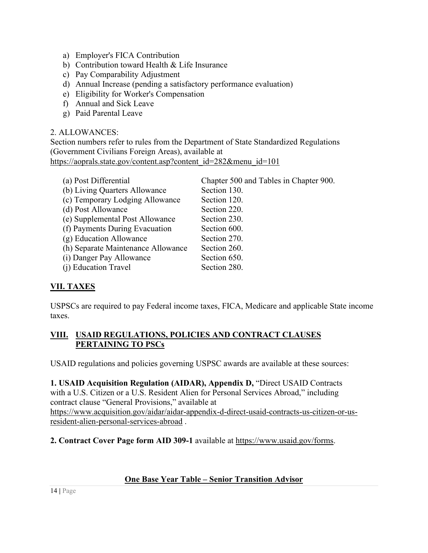- a) Employer's FICA Contribution
- b) Contribution toward Health & Life Insurance
- c) Pay Comparability Adjustment
- d) Annual Increase (pending a satisfactory performance evaluation)
- e) Eligibility for Worker's Compensation
- f) Annual and Sick Leave
- g) Paid Parental Leave

### 2. ALLOWANCES:

Section numbers refer to rules from the Department of State Standardized Regulations (Government Civilians Foreign Areas), available at [https://aoprals.state.gov/content.asp?content\\_id=282&menu\\_id=101](https://aoprals.state.gov/content.asp?content_id=282&menu_id=101)

| (a) Post Differential              | Chapter 500 and Tables in Chapter 900. |
|------------------------------------|----------------------------------------|
| (b) Living Quarters Allowance      | Section 130.                           |
| (c) Temporary Lodging Allowance    | Section 120.                           |
| (d) Post Allowance                 | Section 220.                           |
| (e) Supplemental Post Allowance    | Section 230.                           |
| (f) Payments During Evacuation     | Section 600.                           |
| (g) Education Allowance            | Section 270.                           |
| (h) Separate Maintenance Allowance | Section 260.                           |
| (i) Danger Pay Allowance           | Section 650.                           |
| (j) Education Travel               | Section 280.                           |

# **VII. TAXES**

USPSCs are required to pay Federal income taxes, FICA, Medicare and applicable State income taxes.

# **VIII. USAID REGULATIONS, POLICIES AND CONTRACT CLAUSES PERTAINING TO PSCs**

USAID regulations and policies governing USPSC awards are available at these sources:

**1. USAID Acquisition Regulation (AIDAR), Appendix D,** "Direct USAID Contracts with a U.S. Citizen or a U.S. Resident Alien for Personal Services Abroad," including contract clause "General Provisions," available at [https://www.acquisition.gov/aidar/aidar-appendix-d-direct-usaid-contracts-us-citizen-or-us](https://www.acquisition.gov/aidar/aidar-appendix-d-direct-usaid-contracts-us-citizen-or-us-resident-alien-personal-services-abroad)[resident-alien-personal-services-abroad](https://www.acquisition.gov/aidar/aidar-appendix-d-direct-usaid-contracts-us-citizen-or-us-resident-alien-personal-services-abroad) .

**2. Contract Cover Page form AID 309-1** available at [https://www.usaid.gov/forms.](https://www.usaid.gov/forms)

# **One Base Year Table – Senior Transition Advisor**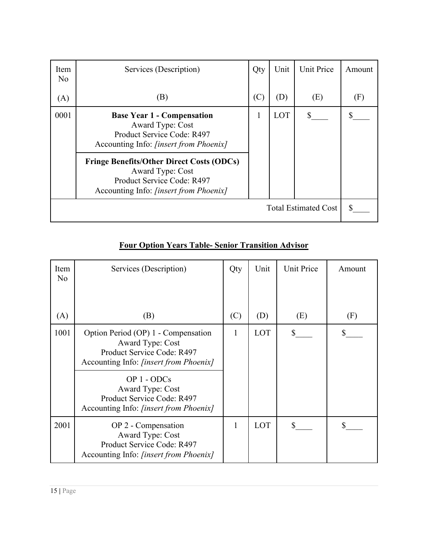| Item<br>N <sub>o</sub>      | Services (Description)                                                                                                                       | Qty | Unit | <b>Unit Price</b> | Amount |
|-----------------------------|----------------------------------------------------------------------------------------------------------------------------------------------|-----|------|-------------------|--------|
| (A)                         | (B)                                                                                                                                          | (C) | (D)  | (E)               | (F)    |
| 0001                        | <b>Base Year 1 - Compensation</b><br>Award Type: Cost<br>Product Service Code: R497<br>Accounting Info: <i>[insert from Phoenix]</i>         | 1   | LOT  |                   |        |
|                             | <b>Fringe Benefits/Other Direct Costs (ODCs)</b><br>Award Type: Cost<br>Product Service Code: R497<br>Accounting Info: [insert from Phoenix] |     |      |                   |        |
| <b>Total Estimated Cost</b> |                                                                                                                                              |     |      |                   | S      |

# **Four Option Years Table- Senior Transition Advisor**

| Item<br>No | Services (Description)                                                                                                                                                                                                                                          | Qty | Unit | <b>Unit Price</b> | Amount |
|------------|-----------------------------------------------------------------------------------------------------------------------------------------------------------------------------------------------------------------------------------------------------------------|-----|------|-------------------|--------|
| (A)        | (B)                                                                                                                                                                                                                                                             | (C) | (D)  | (E)               | (F)    |
| 1001       | Option Period (OP) 1 - Compensation<br>Award Type: Cost<br>Product Service Code: R497<br>Accounting Info: <i>[insert from Phoenix]</i><br>OP 1 - ODCs<br><b>Award Type: Cost</b><br>Product Service Code: R497<br>Accounting Info: <i>[insert from Phoenix]</i> | 1   | LOT  | S.                |        |
| 2001       | OP 2 - Compensation<br><b>Award Type: Cost</b><br>Product Service Code: R497<br>Accounting Info: [insert from Phoenix]                                                                                                                                          | 1   | LOT  | \$                |        |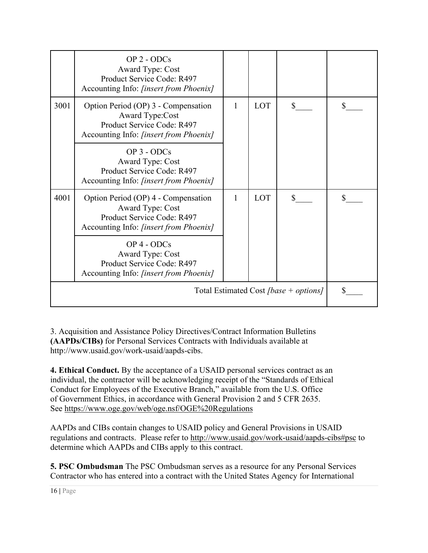|                                       | $OP$ 2 - $ODCs$<br><b>Award Type: Cost</b><br>Product Service Code: R497<br>Accounting Info: [insert from Phoenix]                     |              |            |               |  |
|---------------------------------------|----------------------------------------------------------------------------------------------------------------------------------------|--------------|------------|---------------|--|
| 3001                                  | Option Period (OP) 3 - Compensation<br>Award Type:Cost<br>Product Service Code: R497<br>Accounting Info: [insert from Phoenix]         | 1            | <b>LOT</b> | S.            |  |
|                                       | $OP$ 3 - $ODCs$<br>Award Type: Cost<br>Product Service Code: R497<br>Accounting Info: [insert from Phoenix]                            |              |            |               |  |
| 4001                                  | Option Period (OP) 4 - Compensation<br><b>Award Type: Cost</b><br>Product Service Code: R497<br>Accounting Info: [insert from Phoenix] | $\mathbf{1}$ | LOT        | $\mathcal{S}$ |  |
|                                       | $OP$ 4 - $ODCs$<br><b>Award Type: Cost</b><br>Product Service Code: R497<br>Accounting Info: [insert from Phoenix]                     |              |            |               |  |
| Total Estimated Cost [base + options] |                                                                                                                                        |              |            |               |  |

3. Acquisition and Assistance Policy Directives/Contract Information Bulletins **(AAPDs/CIBs)** for Personal Services Contracts with Individuals available at http://www.usaid.gov/work-usaid/aapds-cibs.

**4. Ethical Conduct.** By the acceptance of a USAID personal services contract as an individual, the contractor will be acknowledging receipt of the "Standards of Ethical Conduct for Employees of the Executive Branch," available from the U.S. Office of Government Ethics, in accordance with General Provision 2 and 5 CFR 2635. See<https://www.oge.gov/web/oge.nsf/OGE%20Regulations>

AAPDs and CIBs contain changes to USAID policy and General Provisions in USAID regulations and contracts. Please refer to<http://www.usaid.gov/work-usaid/aapds-cibs#psc>to determine which AAPDs and CIBs apply to this contract.

**5. PSC Ombudsman** The PSC Ombudsman serves as a resource for any Personal Services Contractor who has entered into a contract with the United States Agency for International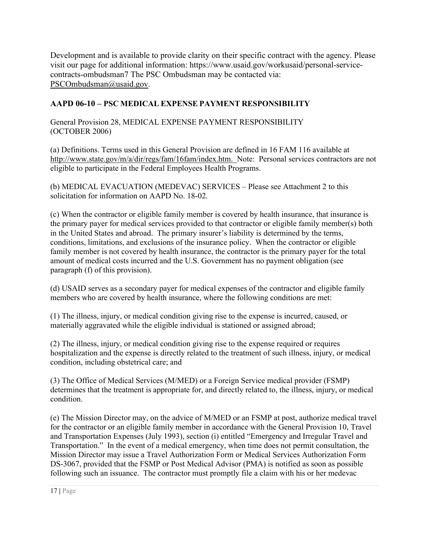Development and is available to provide clarity on their specific contract with the agency. Please visit our page for additional information: https://www.usaid.gov/workusaid/personal-servicecontracts-ombudsman7 The PSC Ombudsman may be contacted via: [PSCOmbudsman@usaid.gov.](mailto:PSCOmbudsman@usaid.gov)

# **AAPD 06-10 – PSC MEDICAL EXPENSE PAYMENT RESPONSIBILITY**

General Provision 28, MEDICAL EXPENSE PAYMENT RESPONSIBILITY (OCTOBER 2006)

(a) Definitions. Terms used in this General Provision are defined in 16 FAM 116 available at [http://www.state.gov/m/a/dir/regs/fam/16fam/index.htm.](http://www.state.gov/m/a/dir/regs/fam/16fam/index.htm) Note: Personal services contractors are not eligible to participate in the Federal Employees Health Programs.

(b) MEDICAL EVACUATION (MEDEVAC) SERVICES – Please see Attachment 2 to this solicitation for information on AAPD No. 18-02.

(c) When the contractor or eligible family member is covered by health insurance, that insurance is the primary payer for medical services provided to that contractor or eligible family member(s) both in the United States and abroad. The primary insurer's liability is determined by the terms, conditions, limitations, and exclusions of the insurance policy. When the contractor or eligible family member is not covered by health insurance, the contractor is the primary payer for the total amount of medical costs incurred and the U.S. Government has no payment obligation (see paragraph (f) of this provision).

(d) USAID serves as a secondary payer for medical expenses of the contractor and eligible family members who are covered by health insurance, where the following conditions are met:

(1) The illness, injury, or medical condition giving rise to the expense is incurred, caused, or materially aggravated while the eligible individual is stationed or assigned abroad;

(2) The illness, injury, or medical condition giving rise to the expense required or requires hospitalization and the expense is directly related to the treatment of such illness, injury, or medical condition, including obstetrical care; and

(3) The Office of Medical Services (M/MED) or a Foreign Service medical provider (FSMP) determines that the treatment is appropriate for, and directly related to, the illness, injury, or medical condition.

(e) The Mission Director may, on the advice of M/MED or an FSMP at post, authorize medical travel for the contractor or an eligible family member in accordance with the General Provision 10, Travel and Transportation Expenses (July 1993), section (i) entitled "Emergency and Irregular Travel and Transportation." In the event of a medical emergency, when time does not permit consultation, the Mission Director may issue a Travel Authorization Form or Medical Services Authorization Form DS-3067, provided that the FSMP or Post Medical Advisor (PMA) is notified as soon as possible following such an issuance. The contractor must promptly file a claim with his or her medevac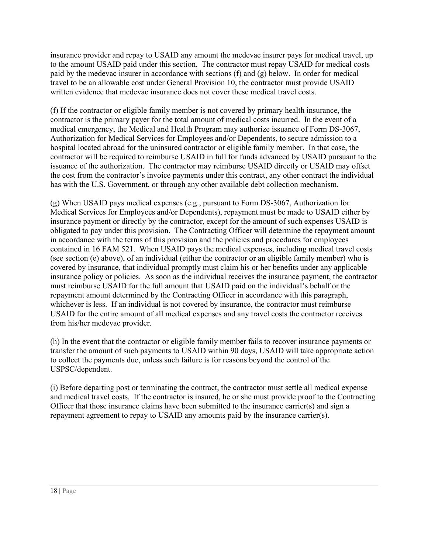insurance provider and repay to USAID any amount the medevac insurer pays for medical travel, up to the amount USAID paid under this section. The contractor must repay USAID for medical costs paid by the medevac insurer in accordance with sections (f) and (g) below. In order for medical travel to be an allowable cost under General Provision 10, the contractor must provide USAID written evidence that medevac insurance does not cover these medical travel costs.

(f) If the contractor or eligible family member is not covered by primary health insurance, the contractor is the primary payer for the total amount of medical costs incurred. In the event of a medical emergency, the Medical and Health Program may authorize issuance of Form DS-3067, Authorization for Medical Services for Employees and/or Dependents, to secure admission to a hospital located abroad for the uninsured contractor or eligible family member. In that case, the contractor will be required to reimburse USAID in full for funds advanced by USAID pursuant to the issuance of the authorization. The contractor may reimburse USAID directly or USAID may offset the cost from the contractor's invoice payments under this contract, any other contract the individual has with the U.S. Government, or through any other available debt collection mechanism.

(g) When USAID pays medical expenses (e.g., pursuant to Form DS-3067, Authorization for Medical Services for Employees and/or Dependents), repayment must be made to USAID either by insurance payment or directly by the contractor, except for the amount of such expenses USAID is obligated to pay under this provision. The Contracting Officer will determine the repayment amount in accordance with the terms of this provision and the policies and procedures for employees contained in 16 FAM 521. When USAID pays the medical expenses, including medical travel costs (see section (e) above), of an individual (either the contractor or an eligible family member) who is covered by insurance, that individual promptly must claim his or her benefits under any applicable insurance policy or policies. As soon as the individual receives the insurance payment, the contractor must reimburse USAID for the full amount that USAID paid on the individual's behalf or the repayment amount determined by the Contracting Officer in accordance with this paragraph, whichever is less. If an individual is not covered by insurance, the contractor must reimburse USAID for the entire amount of all medical expenses and any travel costs the contractor receives from his/her medevac provider.

(h) In the event that the contractor or eligible family member fails to recover insurance payments or transfer the amount of such payments to USAID within 90 days, USAID will take appropriate action to collect the payments due, unless such failure is for reasons beyond the control of the USPSC/dependent.

(i) Before departing post or terminating the contract, the contractor must settle all medical expense and medical travel costs. If the contractor is insured, he or she must provide proof to the Contracting Officer that those insurance claims have been submitted to the insurance carrier(s) and sign a repayment agreement to repay to USAID any amounts paid by the insurance carrier(s).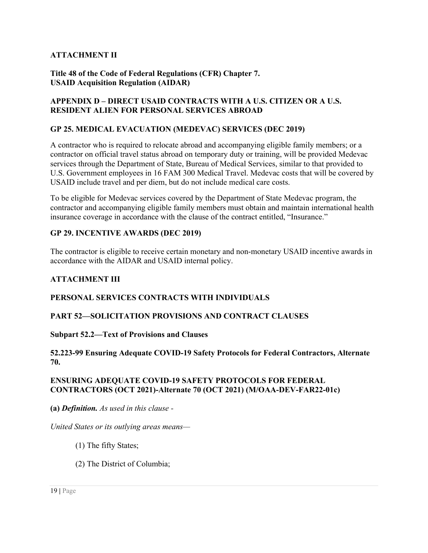# **ATTACHMENT II**

#### **Title 48 of the Code of Federal Regulations (CFR) Chapter 7. USAID Acquisition Regulation (AIDAR)**

#### **APPENDIX D – DIRECT USAID CONTRACTS WITH A U.S. CITIZEN OR A U.S. RESIDENT ALIEN FOR PERSONAL SERVICES ABROAD**

#### **GP 25. MEDICAL EVACUATION (MEDEVAC) SERVICES (DEC 2019)**

A contractor who is required to relocate abroad and accompanying eligible family members; or a contractor on official travel status abroad on temporary duty or training, will be provided Medevac services through the Department of State, Bureau of Medical Services, similar to that provided to U.S. Government employees in 16 FAM 300 Medical Travel. Medevac costs that will be covered by USAID include travel and per diem, but do not include medical care costs.

To be eligible for Medevac services covered by the Department of State Medevac program, the contractor and accompanying eligible family members must obtain and maintain international health insurance coverage in accordance with the clause of the contract entitled, "Insurance."

#### **GP 29. INCENTIVE AWARDS (DEC 2019)**

The contractor is eligible to receive certain monetary and non-monetary USAID incentive awards in accordance with the AIDAR and USAID internal policy.

#### **ATTACHMENT III**

#### **PERSONAL SERVICES CONTRACTS WITH INDIVIDUALS**

#### **PART 52—SOLICITATION PROVISIONS AND CONTRACT CLAUSES**

#### **Subpart 52.2—Text of Provisions and Clauses**

#### **52.223-99 Ensuring Adequate COVID-19 Safety Protocols for Federal Contractors, Alternate 70.**

#### **ENSURING ADEQUATE COVID-19 SAFETY PROTOCOLS FOR FEDERAL CONTRACTORS (OCT 2021)-Alternate 70 (OCT 2021) (M/OAA-DEV-FAR22-01c)**

**(a)** *Definition. As used in this clause -* 

*United States or its outlying areas means—* 

- (1) The fifty States;
- (2) The District of Columbia;